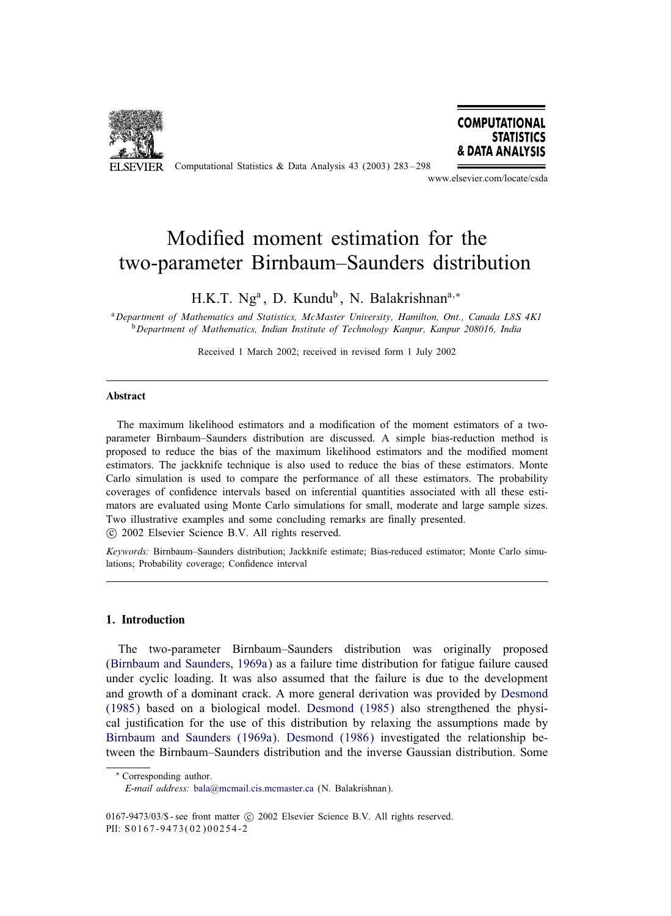

ELSEVIER Computational Statistics & Data Analysis 43 (2003) 283-298



www.elsevier.com/locate/csda

# Modified moment estimation for the two-parameter Birnbaum–Saunders distribution

H.K.T. Ng<sup>a</sup>, D. Kundu<sup>b</sup>, N. Balakrishnan<sup>a,\*</sup>

<sup>a</sup>*Department of Mathematics and Statistics, McMaster University, Hamilton, Ont., Canada L8S 4K1* <sup>b</sup>*Department of Mathematics, Indian Institute of Technology Kanpur, Kanpur 208016, India*

Received 1 March 2002; received in revised form 1 July 2002

#### Abstract

The maximum likelihood estimators and a modification of the moment estimators of a twoparameter Birnbaum–Saunders distribution are discussed. A simple bias-reduction method is proposed to reduce the bias of the maximum likelihood estimators and the modified moment estimators. The jackknife technique is also used to reduce the bias of these estimators. Monte Carlo simulation is used to compare the performance of all these estimators. The probability coverages of confidence intervals based on inferential quantities associated with all these estimators are evaluated using Monte Carlo simulations for small, moderate and large sample sizes. Two illustrative examples and some concluding remarks are finally presented.

c 2002 Elsevier Science B.V. All rights reserved.

*Keywords:* Birnbaum–Saunders distribution; Jackknife estimate; Bias-reduced estimator; Monte Carlo simulations; Probability coverage; Confidence interval

#### 1. Introduction

The two-parameter Birnbaum–Saunders distribution was originally proposed [\(Birnbaum and Saunders, 1969a\)](#page-15-0) as a failure time distribution for fatigue failure caused under cyclic loading. It was also assumed that the failure is due to the development and growth of a dominant crack. A more general derivation was provided by [Desmond](#page-15-0) [\(1985\)](#page-15-0) based on a biological model. [Desmond \(1985\)](#page-15-0) also strengthened the physical justification for the use of this distribution by relaxing the assumptions made by [Birnbaum and Saunders \(1969a\).](#page-15-0) [Desmond \(1986\)](#page-15-0) investigated the relationship between the Birnbaum–Saunders distribution and the inverse Gaussian distribution. Some

<sup>∗</sup> Corresponding author.

*E-mail address:* [bala@mcmail.cis.mcmaster.ca](mailto:bala@mcmail.cis.mcmaster.ca) (N. Balakrishnan).

<sup>0167-9473/03/\$ -</sup> see front matter  $\odot$  2002 Elsevier Science B.V. All rights reserved. PII: S0167-9473(02)00254-2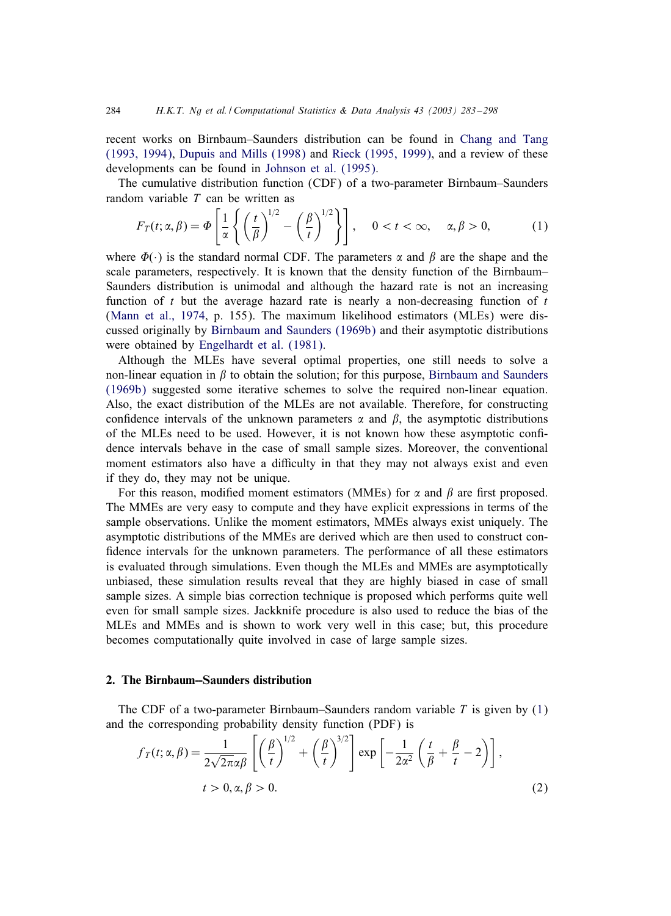<span id="page-1-0"></span>recent works on Birnbaum–Saunders distribution can be found in [Chang and Tang](#page-15-0) [\(1993, 1994\),](#page-15-0) [Dupuis and Mills \(1998\)](#page-15-0) and [Rieck \(1995, 1999\),](#page-15-0) and a review of these developments can be found in [Johnson et al. \(1995\).](#page-15-0)

The cumulative distribution function (CDF) of a two-parameter Birnbaum–Saunders random variable  $T$  can be written as

$$
F_T(t; \alpha, \beta) = \Phi\left[\frac{1}{\alpha} \left\{ \left(\frac{t}{\beta}\right)^{1/2} - \left(\frac{\beta}{t}\right)^{1/2} \right\} \right], \quad 0 < t < \infty, \quad \alpha, \beta > 0,
$$
 (1)

where  $\Phi(\cdot)$  is the standard normal CDF. The parameters  $\alpha$  and  $\beta$  are the shape and the scale parameters, respectively. It is known that the density function of the Birnbaum– Saunders distribution is unimodal and although the hazard rate is not an increasing function of t but the average hazard rate is nearly a non-decreasing function of  $t$ [\(Mann et al., 1974,](#page-15-0) p. 155). The maximum likelihood estimators (MLEs) were discussed originally by [Birnbaum and Saunders \(1969b\)](#page-15-0) and their asymptotic distributions were obtained by [Engelhardt et al. \(1981\).](#page-15-0)

Although the MLEs have several optimal properties, one still needs to solve a non-linear equation in  $\beta$  to obtain the solution; for this purpose, [Birnbaum and Saunders](#page-15-0) [\(1969b\)](#page-15-0) suggested some iterative schemes to solve the required non-linear equation. Also, the exact distribution of the MLEs are not available. Therefore, for constructing confidence intervals of the unknown parameters  $\alpha$  and  $\beta$ , the asymptotic distributions of the MLEs need to be used. However, it is not known how these asymptotic confidence intervals behave in the case of small sample sizes. Moreover, the conventional moment estimators also have a difficulty in that they may not always exist and even if they do, they may not be unique.

For this reason, modified moment estimators (MMEs) for  $\alpha$  and  $\beta$  are first proposed. The MMEs are very easy to compute and they have explicit expressions in terms of the sample observations. Unlike the moment estimators, MMEs always exist uniquely. The asymptotic distributions of the MMEs are derived which are then used to construct con fidence intervals for the unknown parameters. The performance of all these estimators is evaluated through simulations. Even though the MLEs and MMEs are asymptotically unbiased, these simulation results reveal that they are highly biased in case of small sample sizes. A simple bias correction technique is proposed which performs quite well even for small sample sizes. Jackknife procedure is also used to reduce the bias of the MLEs and MMEs and is shown to work very well in this case; but, this procedure becomes computationally quite involved in case of large sample sizes.

### 2. The Birnbaum-Saunders distribution

The CDF of a two-parameter Birnbaum–Saunders random variable  $T$  is given by  $(1)$ and the corresponding probability density function (PDF) is

$$
f_T(t; \alpha, \beta) = \frac{1}{2\sqrt{2\pi}\alpha\beta} \left[ \left(\frac{\beta}{t}\right)^{1/2} + \left(\frac{\beta}{t}\right)^{3/2} \right] \exp\left[ -\frac{1}{2\alpha^2} \left(\frac{t}{\beta} + \frac{\beta}{t} - 2\right) \right],
$$
  

$$
t > 0, \alpha, \beta > 0.
$$
 (2)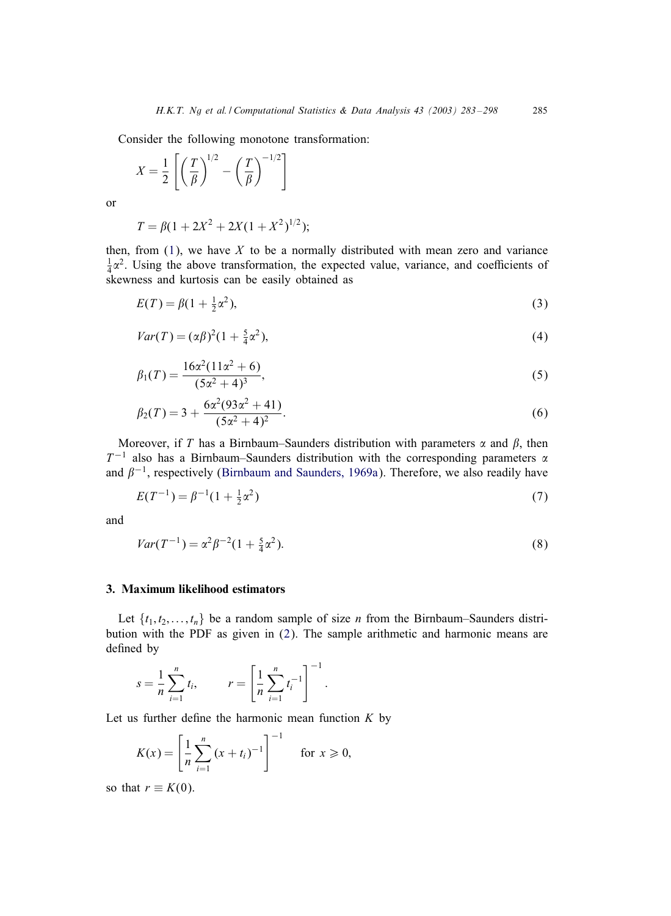<span id="page-2-0"></span>Consider the following monotone transformation:

$$
X = \frac{1}{2} \left[ \left( \frac{T}{\beta} \right)^{1/2} - \left( \frac{T}{\beta} \right)^{-1/2} \right]
$$

or

$$
T = \beta(1 + 2X^2 + 2X(1 + X^2)^{1/2});
$$

then, from  $(1)$ , we have X to be a normally distributed with mean zero and variance  $\frac{1}{4}\alpha^2$ . Using the above transformation, the expected value, variance, and coefficients of skewness and kurtosis can be easily obtained as

$$
E(T) = \beta(1 + \frac{1}{2}\alpha^2),
$$
\n(3)

$$
Var(T) = (\alpha \beta)^2 (1 + \frac{5}{4} \alpha^2),
$$
\n(4)

$$
\beta_1(T) = \frac{16\alpha^2(11\alpha^2 + 6)}{(5\alpha^2 + 4)^3},\tag{5}
$$

$$
\beta_2(T) = 3 + \frac{6\alpha^2(93\alpha^2 + 41)}{(5\alpha^2 + 4)^2}.
$$
\n(6)

Moreover, if T has a Birnbaum–Saunders distribution with parameters  $\alpha$  and  $\beta$ , then  $T^{-1}$  also has a Birnbaum–Saunders distribution with the corresponding parameters  $\alpha$ and  $\beta^{-1}$ , respectively [\(Birnbaum and Saunders, 1969a\)](#page-15-0). Therefore, we also readily have

$$
E(T^{-1}) = \beta^{-1}(1 + \frac{1}{2}\alpha^2)
$$
\n(7)

and

$$
Var(T^{-1}) = \alpha^2 \beta^{-2} (1 + \frac{5}{4} \alpha^2).
$$
 (8)

### 3. Maximum likelihood estimators

Let  $\{t_1, t_2, \ldots, t_n\}$  be a random sample of size *n* from the Birnbaum–Saunders distribution with the PDF as given in [\(2\)](#page-1-0). The sample arithmetic and harmonic means are defined by

$$
s = \frac{1}{n} \sum_{i=1}^{n} t_i, \qquad r = \left[ \frac{1}{n} \sum_{i=1}^{n} t_i^{-1} \right]^{-1}.
$$

Let us further define the harmonic mean function  $K$  by

$$
K(x) = \left[\frac{1}{n}\sum_{i=1}^{n} (x + t_i)^{-1}\right]^{-1} \quad \text{for } x \geq 0,
$$

so that  $r \equiv K(0)$ .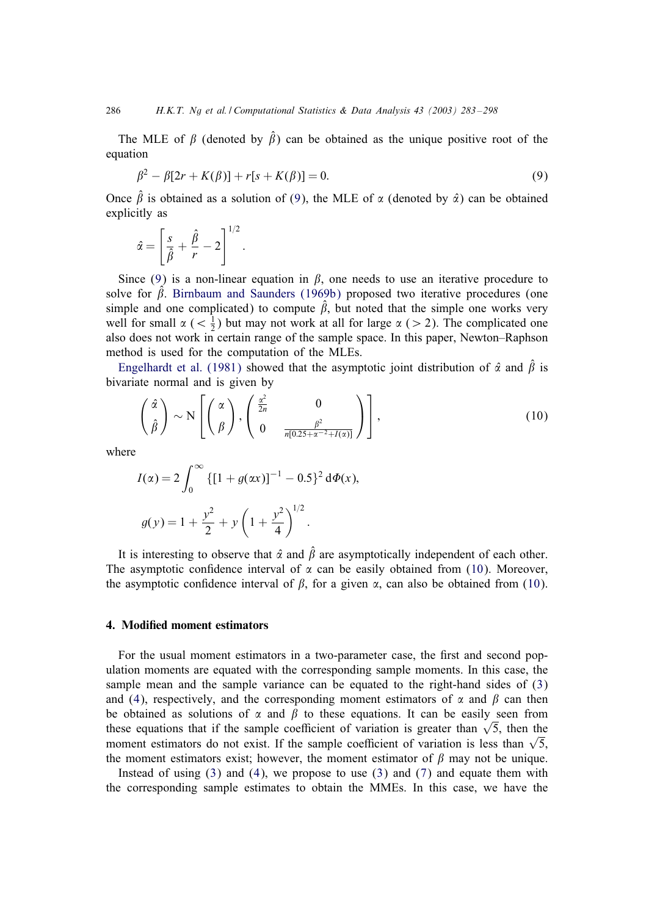The MLE of  $\beta$  (denoted by  $\hat{\beta}$ ) can be obtained as the unique positive root of the equation

$$
\beta^2 - \beta[2r + K(\beta)] + r[s + K(\beta)] = 0.
$$
\n(9)

Once  $\hat{\beta}$  is obtained as a solution of (9), the MLE of  $\alpha$  (denoted by  $\hat{\alpha}$ ) can be obtained explicitly as

$$
\hat{\alpha} = \left[\frac{s}{\hat{\beta}} + \frac{\hat{\beta}}{r} - 2\right]^{1/2}.
$$

Since (9) is a non-linear equation in  $\beta$ , one needs to use an iterative procedure to solve for  $\hat{\beta}$ . [Birnbaum and Saunders \(1969b\)](#page-15-0) proposed two iterative procedures (one simple and one complicated) to compute  $\beta$ , but noted that the simple one works very well for small  $\alpha$  ( $\langle \frac{1}{2} \rangle$  but may not work at all for large  $\alpha$  ( $>$  2). The complicated one also does not work in certain range of the sample space. In this paper, Newton–Raphson method is used for the computation of the MLEs.

[Engelhardt et al. \(1981\)](#page-15-0) showed that the asymptotic joint distribution of  $\hat{\alpha}$  and  $\hat{\beta}$  is bivariate normal and is given by

$$
\begin{pmatrix} \hat{\alpha} \\ \hat{\beta} \end{pmatrix} \sim N \left[ \begin{pmatrix} \alpha \\ \beta \end{pmatrix}, \begin{pmatrix} \frac{\alpha^2}{2n} & 0 \\ 0 & \frac{\beta^2}{n[0.25 + \alpha^{-2} + I(\alpha)]} \end{pmatrix} \right],
$$
\n(10)

where

$$
I(\alpha) = 2 \int_0^{\infty} \{ [1 + g(\alpha x)]^{-1} - 0.5 \}^2 d\Phi(x),
$$
  

$$
g(y) = 1 + \frac{y^2}{2} + y \left( 1 + \frac{y^2}{4} \right)^{1/2}.
$$

It is interesting to observe that  $\hat{\alpha}$  and  $\hat{\beta}$  are asymptotically independent of each other. The asymptotic confidence interval of  $\alpha$  can be easily obtained from (10). Moreover, the asymptotic confidence interval of  $\beta$ , for a given  $\alpha$ , can also be obtained from (10).

#### 4. Modified moment estimators

For the usual moment estimators in a two-parameter case, the first and second population moments are equated with the corresponding sample moments. In this case, the sample mean and the sample variance can be equated to the right-hand sides of [\(3\)](#page-2-0) and [\(4\)](#page-2-0), respectively, and the corresponding moment estimators of  $\alpha$  and  $\beta$  can then be obtained as solutions of  $\alpha$  and  $\beta$  to these equations. It can be easily seen from these equations that if the sample coefficient of variation is greater than  $\sqrt{5}$ , then the moment estimators do not exist. If the sample coefficient of variation is less than  $\sqrt{5}$ , the moment estimators exist; however, the moment estimator of  $\beta$  may not be unique.

Instead of using  $(3)$  and  $(4)$ , we propose to use  $(3)$  and  $(7)$  and equate them with the corresponding sample estimates to obtain the MMEs. In this case, we have the

<span id="page-3-0"></span>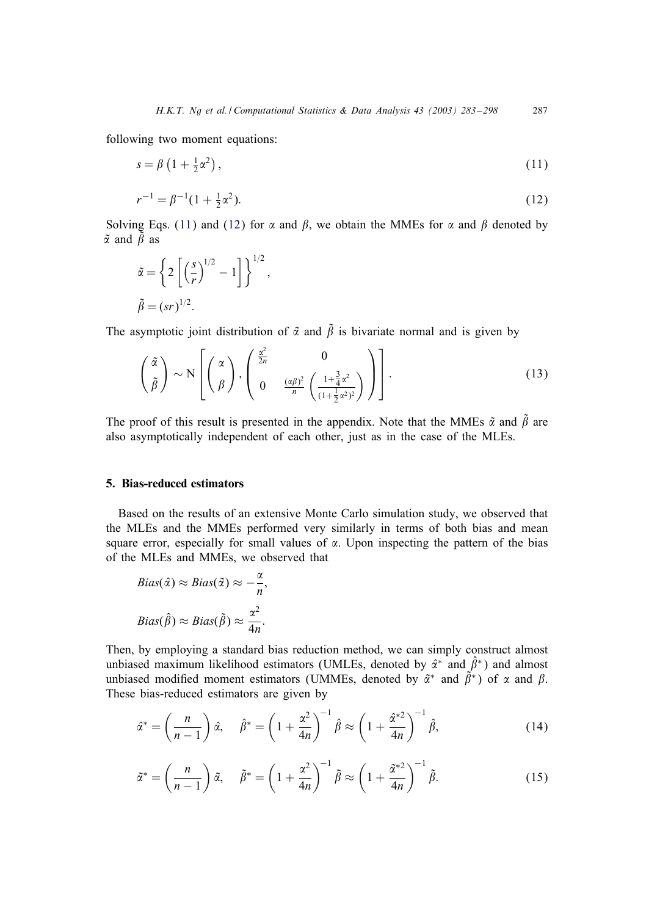<span id="page-4-0"></span>following two moment equations:

$$
s = \beta \left(1 + \frac{1}{2}\alpha^2\right),\tag{11}
$$

$$
r^{-1} = \beta^{-1}(1 + \frac{1}{2}\alpha^2). \tag{12}
$$

Solving Eqs. (11) and (12) for  $\alpha$  and  $\beta$ , we obtain the MMEs for  $\alpha$  and  $\beta$  denoted by  $\tilde{\alpha}$  and  $\tilde{\beta}$  as

$$
\tilde{\alpha} = \left\{ 2 \left[ \left( \frac{s}{r} \right)^{1/2} - 1 \right] \right\}^{1/2},
$$
  

$$
\tilde{\beta} = (sr)^{1/2}.
$$

The asymptotic joint distribution of  $\tilde{\alpha}$  and  $\tilde{\beta}$  is bivariate normal and is given by

$$
\left(\frac{\tilde{\alpha}}{\tilde{\beta}}\right) \sim N\left[\left(\frac{\alpha}{\beta}\right), \left(\begin{array}{cc} \frac{\alpha^2}{2n} & 0\\ 0 & \frac{(\alpha\beta)^2}{n} \left(\frac{1+\frac{3}{4}\alpha^2}{(1+\frac{1}{2}\alpha^2)^2}\right)\end{array}\right)\right].
$$
\n(13)

The proof of this result is presented in the appendix. Note that the MMEs  $\tilde{\alpha}$  and  $\tilde{\beta}$  are also asymptotically independent of each other, just as in the case of the MLEs.

## 5. Bias-reduced estimators

Based on the results of an extensive Monte Carlo simulation study, we observed that the MLEs and the MMEs performed very similarly in terms of both bias and mean square error, especially for small values of  $\alpha$ . Upon inspecting the pattern of the bias of the MLEs and MMEs, we observed that

$$
Bias(\hat{\alpha}) \approx Bias(\tilde{\alpha}) \approx -\frac{\alpha}{n},
$$
  

$$
Bias(\hat{\beta}) \approx Bias(\tilde{\beta}) \approx \frac{\alpha^2}{4n}.
$$

Then, by employing a standard bias reduction method, we can simply construct almost unbiased maximum likelihood estimators (UMLEs, denoted by  $\hat{\alpha}^*$  and  $\hat{\beta}^*$ ) and almost unbiased modified moment estimators (UMMEs, denoted by  $\tilde{\alpha}^*$  and  $\tilde{\beta}^*$ ) of  $\alpha$  and  $\beta$ . These bias-reduced estimators are given by

$$
\hat{\alpha}^* = \left(\frac{n}{n-1}\right)\hat{\alpha}, \quad \hat{\beta}^* = \left(1 + \frac{\alpha^2}{4n}\right)^{-1}\hat{\beta} \approx \left(1 + \frac{\hat{\alpha}^{*2}}{4n}\right)^{-1}\hat{\beta},\tag{14}
$$

$$
\tilde{\alpha}^* = \left(\frac{n}{n-1}\right)\tilde{\alpha}, \quad \tilde{\beta}^* = \left(1 + \frac{\alpha^2}{4n}\right)^{-1}\tilde{\beta} \approx \left(1 + \frac{\tilde{\alpha}^{*2}}{4n}\right)^{-1}\tilde{\beta}.
$$
 (15)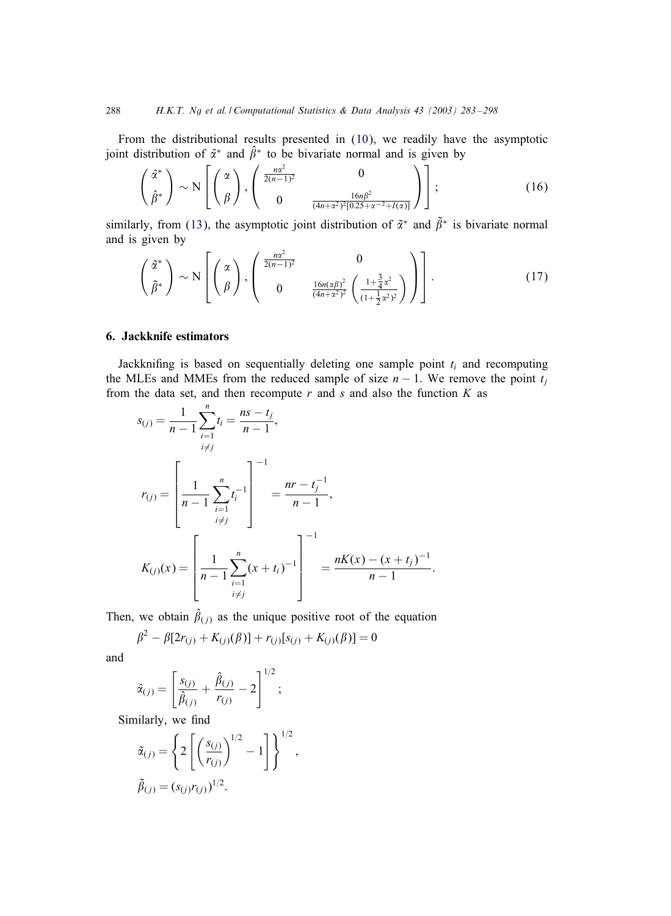From the distributional results presented in [\(10\)](#page-3-0), we readily have the asymptotic joint distribution of  $\hat{\alpha}^*$  and  $\hat{\beta}^*$  to be bivariate normal and is given by

$$
\begin{pmatrix} \hat{\alpha}^* \\ \hat{\beta}^* \end{pmatrix} \sim N \left[ \begin{pmatrix} \alpha \\ \beta \end{pmatrix}, \begin{pmatrix} \frac{n\alpha^2}{2(n-1)^2} & 0 \\ 0 & \frac{16n\beta^2}{(4n+\alpha^2)^2[0.25+\alpha^{-2}+I(\alpha)]} \end{pmatrix} \right];
$$
(16)

similarly, from [\(13\)](#page-4-0), the asymptotic joint distribution of  $\tilde{\alpha}^*$  and  $\tilde{\beta}^*$  is bivariate normal and is given by

$$
\begin{pmatrix} \tilde{\alpha}^* \\ \tilde{\beta}^* \end{pmatrix} \sim N \left[ \begin{pmatrix} \alpha \\ \beta \end{pmatrix}, \begin{pmatrix} \frac{n\alpha^2}{2(n-1)^2} & 0 \\ 0 & \frac{16n(\alpha\beta)^2}{(4n+\alpha^2)^2} \left( \frac{1+\frac{3}{4}\alpha^2}{(1+\frac{1}{2}\alpha^2)^2} \right) \end{pmatrix} \right].
$$
 (17)

#### 6. Jackknife estimators

Jackknifing is based on sequentially deleting one sample point  $t_i$  and recomputing the MLEs and MMEs from the reduced sample of size  $n - 1$ . We remove the point  $t_i$ from the data set, and then recompute  $r$  and  $s$  and also the function  $K$  as

$$
s_{(j)} = \frac{1}{n-1} \sum_{\substack{i=1 \ i \neq j}}^n t_i = \frac{ns - t_j}{n-1},
$$
  

$$
r_{(j)} = \left[ \frac{1}{n-1} \sum_{\substack{i=1 \ i \neq j}}^n t_i^{-1} \right]^{-1} = \frac{nr - t_j^{-1}}{n-1},
$$
  

$$
K_{(j)}(x) = \left[ \frac{1}{n-1} \sum_{\substack{i=1 \ i \neq j}}^n (x + t_i)^{-1} \right]^{-1} = \frac{nK(x) - (x + t_j)^{-1}}{n-1}.
$$

Then, we obtain  $\hat{\beta}_{(j)}$  as the unique positive root of the equation

$$
\beta^{2} - \beta[2r_{(j)} + K_{(j)}(\beta)] + r_{(j)}[s_{(j)} + K_{(j)}(\beta)] = 0
$$

and

$$
\hat{\alpha}_{(j)} = \left[\frac{s_{(j)}}{\hat{\beta}_{(j)}} + \frac{\hat{\beta}_{(j)}}{r_{(j)}} - 2\right]^{1/2};
$$

Similarly, we find

$$
\tilde{\alpha}_{(j)} = \left\{ 2 \left[ \left( \frac{s_{(j)}}{r_{(j)}} \right)^{1/2} - 1 \right] \right\}^{1/2},
$$
  

$$
\tilde{\beta}_{(j)} = (s_{(j)}r_{(j)})^{1/2}.
$$

<span id="page-5-0"></span>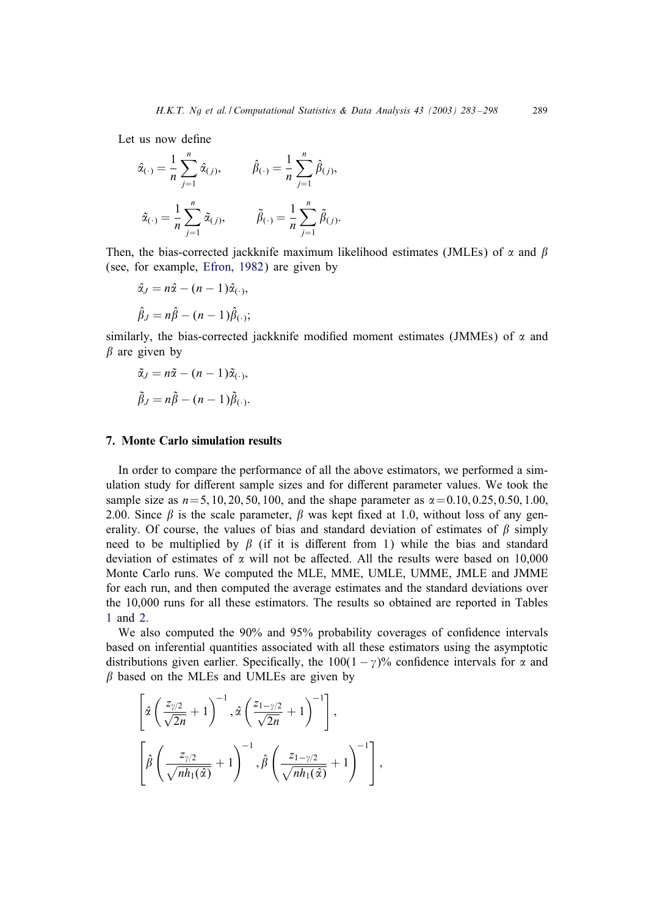Let us now define

$$
\hat{\alpha}_{(\cdot)} = \frac{1}{n} \sum_{j=1}^{n} \hat{\alpha}_{(j)}, \qquad \hat{\beta}_{(\cdot)} = \frac{1}{n} \sum_{j=1}^{n} \hat{\beta}_{(j)},
$$

$$
\tilde{\alpha}_{(\cdot)} = \frac{1}{n} \sum_{j=1}^{n} \tilde{\alpha}_{(j)}, \qquad \tilde{\beta}_{(\cdot)} = \frac{1}{n} \sum_{j=1}^{n} \tilde{\beta}_{(j)}.
$$

Then, the bias-corrected jackknife maximum likelihood estimates (JMLEs) of  $\alpha$  and  $\beta$ (see, for example, [Efron, 1982\)](#page-15-0) are given by

$$
\hat{\alpha}_J = n\hat{\alpha} - (n-1)\hat{\alpha}_{(\cdot)},
$$
  

$$
\hat{\beta}_J = n\hat{\beta} - (n-1)\hat{\beta}_{(\cdot)};
$$

similarly, the bias-corrected jackknife modified moment estimates (JMMEs) of  $\alpha$  and  $\beta$  are given by

$$
\tilde{\alpha}_J = n\tilde{\alpha} - (n-1)\tilde{\alpha}_{(\cdot)},
$$
  

$$
\tilde{\beta}_J = n\tilde{\beta} - (n-1)\tilde{\beta}_{(\cdot)}.
$$

### 7. Monte Carlo simulation results

In order to compare the performance of all the above estimators, we performed a simulation study for different sample sizes and for different parameter values. We took the sample size as  $n=5$ , 10, 20, 50, 100, and the shape parameter as  $\alpha = 0.10, 0.25, 0.50, 1.00$ , 2.00. Since  $\beta$  is the scale parameter,  $\beta$  was kept fixed at 1.0, without loss of any generality. Of course, the values of bias and standard deviation of estimates of  $\beta$  simply need to be multiplied by  $\beta$  (if it is different from 1) while the bias and standard deviation of estimates of  $\alpha$  will not be affected. All the results were based on 10,000 Monte Carlo runs. We computed the MLE, MME, UMLE, UMME, JMLE and JMME for each run, and then computed the average estimates and the standard deviations over the 10,000 runs for all these estimators. The results so obtained are reported in Tables [1](#page-7-0) and [2.](#page-8-0)

We also computed the  $90\%$  and  $95\%$  probability coverages of confidence intervals based on inferential quantities associated with all these estimators using the asymptotic distributions given earlier. Specifically, the  $100(1 - \gamma)\%$  confidence intervals for  $\alpha$  and  $\beta$  based on the MLEs and UMLEs are given by

$$
\[\hat{\alpha}\left(\frac{z_{\gamma/2}}{\sqrt{2n}}+1\right)^{-1}, \hat{\alpha}\left(\frac{z_{1-\gamma/2}}{\sqrt{2n}}+1\right)^{-1}\],\]
$$
\n
$$
\left[\hat{\beta}\left(\frac{z_{\gamma/2}}{\sqrt{nh_1(\hat{\alpha})}}+1\right)^{-1}, \hat{\beta}\left(\frac{z_{1-\gamma/2}}{\sqrt{nh_1(\hat{\alpha})}}+1\right)^{-1}\right],\]
$$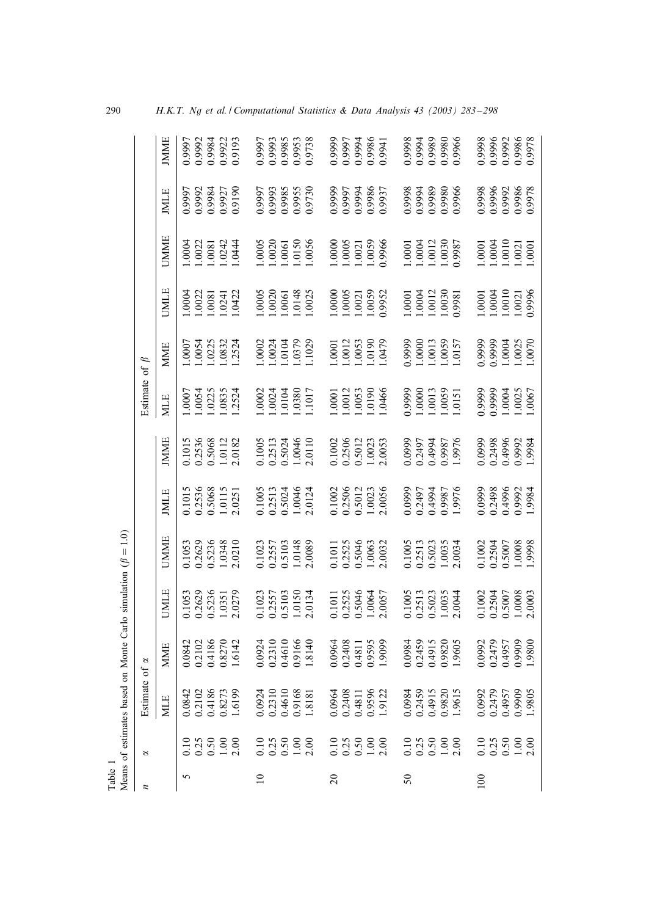| Table           |                                                 | Means of estimates based                                  |                            | on Monte Carlo simulation ( $\beta = 1.0$ )                         |                                                           |                                                |                                                                     |                                                                        |                                                                                         |                                                                                        |                                                                                         |                            |                                      |
|-----------------|-------------------------------------------------|-----------------------------------------------------------|----------------------------|---------------------------------------------------------------------|-----------------------------------------------------------|------------------------------------------------|---------------------------------------------------------------------|------------------------------------------------------------------------|-----------------------------------------------------------------------------------------|----------------------------------------------------------------------------------------|-----------------------------------------------------------------------------------------|----------------------------|--------------------------------------|
| z               | 2                                               | $\ddot{\mathbf{0}}$<br>Estima                             | of $\alpha$                |                                                                     |                                                           |                                                |                                                                     | Estimate of $\beta$                                                    |                                                                                         |                                                                                        |                                                                                         |                            |                                      |
|                 |                                                 | <b>MLE</b>                                                | <b>MME</b>                 | <b>UMLE</b>                                                         | <b>UMME</b>                                               | <b>JMLE</b>                                    | <b>JMME</b>                                                         | <b>MLE</b>                                                             | <b>MME</b>                                                                              | <b>UMLE</b>                                                                            | <b>UMME</b>                                                                             | <b>JMLE</b>                | <b>JMME</b>                          |
| 5               |                                                 |                                                           | 0.0842                     |                                                                     | 0.1053                                                    |                                                | 0.1015                                                              | .0007                                                                  |                                                                                         | .0004                                                                                  |                                                                                         |                            |                                      |
|                 | 0.13<br>0.30<br>0.100<br>0.100                  | 0.0842<br>0.2102                                          | 0.2102<br>0.4186           | 0.1053<br>0.2629<br>0.5236<br>1.0351                                | 0.2629<br>0.5236<br>1.0348<br>2.0210                      |                                                | 0.2536<br>0.5068<br>1.0112                                          | 0054<br>0225<br>0835<br>2524                                           | 1.0007<br>1.0054<br>1.0225<br>1.2524                                                    | 1.0022<br>1.0081<br>1.0241<br>1.0422                                                   | $0004$<br>$0022$<br>$0031$                                                              | 0.9997<br>0.9992<br>0.9984 | 0.997<br>0.9984<br>0.9984<br>0.9193  |
|                 |                                                 |                                                           |                            |                                                                     |                                                           |                                                |                                                                     |                                                                        |                                                                                         |                                                                                        |                                                                                         |                            |                                      |
|                 |                                                 |                                                           |                            |                                                                     |                                                           |                                                |                                                                     |                                                                        |                                                                                         |                                                                                        |                                                                                         | 0.9927                     |                                      |
|                 |                                                 | 0.4186<br>0.8273<br>1.6199                                | 0.8270<br>1.6142           | 2.0279                                                              |                                                           | 0.1015<br>0.2536<br>0.5068<br>1.0115<br>2.0251 | 2.0182                                                              |                                                                        |                                                                                         |                                                                                        | 1.0242                                                                                  |                            |                                      |
| $\overline{10}$ |                                                 |                                                           | 0.0924                     |                                                                     | 0.1023                                                    |                                                |                                                                     |                                                                        |                                                                                         |                                                                                        |                                                                                         |                            |                                      |
|                 |                                                 |                                                           |                            |                                                                     |                                                           |                                                |                                                                     |                                                                        |                                                                                         |                                                                                        |                                                                                         |                            |                                      |
|                 |                                                 | $\begin{array}{c} 0.0924 \\ 0.2310 \\ 0.4610 \end{array}$ | 0.2310<br>0.4610<br>0.9166 |                                                                     | $\begin{array}{c} 0.2557 \\ 0.5103 \\ 1.0148 \end{array}$ | 0.1005<br>0.2513<br>0.5024<br>1.0046           | 0.1005<br>0.2513<br>0.5024<br>1.0046                                | 0024<br>0024<br>0104                                                   |                                                                                         |                                                                                        |                                                                                         | 79997<br>0.9993<br>5860.0  |                                      |
|                 |                                                 |                                                           |                            |                                                                     |                                                           |                                                |                                                                     | .0380                                                                  |                                                                                         |                                                                                        |                                                                                         |                            |                                      |
|                 | $0.3500$<br>$0.5000$<br>$1.000$                 | 0.9168<br>1.8181                                          | 1.8140                     | 0.1023<br>0.2557<br>0.5103<br>1.0150<br>2.0134                      | 2.0089                                                    | 2.0124                                         | 2.0110                                                              | .1017                                                                  | 1.00024<br>1.0024<br>1.0104<br>1.029<br>1.1029                                          | $\begin{array}{r} 1.0005 \\ 1.0020 \\ 1.0061 \\ 1.0148 \\ 1.0025 \end{array}$          | $\begin{array}{r} 1.0005 \\ 1.0020 \\ 1.0150 \\ 1.0150 \\ 1.0056 \\ 1.0056 \end{array}$ | 0.9955                     | 8516'0<br>5866'0<br>5866'0<br>8566'0 |
| $\Omega$        |                                                 |                                                           | 0.0964                     |                                                                     |                                                           |                                                |                                                                     |                                                                        |                                                                                         |                                                                                        |                                                                                         |                            |                                      |
|                 |                                                 |                                                           | 0.2408                     |                                                                     |                                                           |                                                |                                                                     |                                                                        |                                                                                         |                                                                                        |                                                                                         |                            |                                      |
|                 |                                                 | 0.0964<br>0.2408<br>0.4811<br>0.9596<br>1.9122            | 0.4811                     | 0.1011<br>0.2525<br>0.5046<br>1.0064                                | 0.1011<br>0.2525<br>0.5046<br>1.0063                      |                                                | $\begin{array}{c} 0.1002 \\ 0.2506 \\ 0.5012 \\ 1.0023 \end{array}$ |                                                                        |                                                                                         | 1.0000<br>1.0005<br>1.0021<br>1.0059                                                   | $\begin{array}{c} 1.0000 \\ 1.0005 \\ 1.0021 \\ 1.0031 \\ 1.0059 \end{array}$           | 1666.0<br>1666.0<br>1666.0 |                                      |
|                 |                                                 |                                                           | 0.9595                     |                                                                     |                                                           |                                                |                                                                     |                                                                        |                                                                                         |                                                                                        |                                                                                         | 0.9986                     |                                      |
|                 | $0.10$<br>$0.35$<br>$0.50$<br>$1.00$<br>$2.00$  |                                                           | 1.9099                     | 2.0057                                                              | 2.0032                                                    | 0.1002<br>0.2506<br>0.5012<br>1.0023<br>2.0056 | 2.0053                                                              | $\begin{array}{c} 0001 \\ 0012 \\ 0053 \\ 0190 \\ 0190 \\ \end{array}$ | $\begin{array}{l} 1.0001 \\ 1.0012 \\ 1.0053 \\ 1.0190 \\ 1.0190 \\ 1.0479 \end{array}$ | 1.9952                                                                                 | 0.9966                                                                                  | 0.9937                     | 11660<br>286600<br>286600<br>286600  |
| $50\,$          |                                                 |                                                           | 0.0984                     |                                                                     |                                                           |                                                |                                                                     |                                                                        |                                                                                         |                                                                                        |                                                                                         |                            |                                      |
|                 |                                                 |                                                           | 0.2459                     |                                                                     |                                                           |                                                | 0.0999<br>0.2497                                                    |                                                                        |                                                                                         |                                                                                        |                                                                                         |                            |                                      |
|                 |                                                 |                                                           | 0.4915                     |                                                                     |                                                           |                                                | 0.4994                                                              |                                                                        |                                                                                         |                                                                                        |                                                                                         |                            |                                      |
|                 |                                                 | 0.0984<br>0.2459<br>0.4915<br>0.9820<br>1.9615            | 0.9820                     | 0.1005<br>0.2513<br>0.5023<br>1.0035                                | 0.1005<br>0.2513<br>0.5023<br>1.0035                      | 7866'0<br>1667'0<br>1667'0<br>1866'0           |                                                                     | 0.9999<br>1.0000<br>1.0013<br>1.0059                                   | 9999<br>1.0000<br>1.0013<br>1.0157<br>1.0157                                            |                                                                                        | $\begin{array}{r} 1.0001 \\ 1.0004 \\ 1.0012 \\ 1.0030 \end{array}$                     | 0866.0<br>6866.0<br>6866.0 |                                      |
|                 | $0.158$<br>$0.58$<br>$0.58$<br>$0.58$<br>$0.58$ |                                                           | 1.9605                     | 2.0044                                                              | 2.0034                                                    | 1.9976                                         | 0.9987<br>1.9976                                                    | .0151                                                                  |                                                                                         | $\begin{array}{r} 1.0001 \\ 1.0004 \\ 1.0012 \\ 1.0030 \\ 1.0030 \\ 0.981 \end{array}$ | 0.9987                                                                                  | 0.9966                     | 9966'0<br>6866'0<br>6866'0<br>8666'0 |
| $\overline{5}$  |                                                 |                                                           |                            |                                                                     |                                                           |                                                |                                                                     |                                                                        |                                                                                         |                                                                                        |                                                                                         |                            |                                      |
|                 |                                                 |                                                           | 0.0992<br>0.2479           |                                                                     |                                                           |                                                |                                                                     |                                                                        |                                                                                         |                                                                                        |                                                                                         |                            |                                      |
|                 |                                                 | 0.0992<br>0.2479<br>0.4957<br>0.9909<br>1.9805            | 0.4957<br>0.9909<br>1.9800 | $\begin{array}{c} 0.1002 \\ 0.2504 \\ 0.5007 \\ 1.0008 \end{array}$ | 0.1002<br>0.2504<br>0.5007<br>1.0008<br>1.9998            | 0.0999<br>0.2498<br>0.4996                     | 0.0999<br>0.2498<br>0.4996                                          | 9999<br>0.9999<br>1.0025<br>1.0057<br>1.0067                           | 0.9999<br>0.9999<br>1.0025<br>1.0025                                                    | $\begin{array}{c} 1.0001 \\ 1.0004 \\ 1.0010 \\ 1.0010 \\ 1.0021 \\ 0.996 \end{array}$ | $\begin{array}{r} 1.0001 \\ 1.0004 \\ 1.0010 \\ 1.0021 \\ 1.0001 \\ 1.0001 \end{array}$ | 0.9998<br>0.9996<br>0.9992 | 826660<br>766660<br>866600           |
|                 |                                                 |                                                           |                            |                                                                     |                                                           | 0.9992<br>1.9984                               | 0.9992<br>1.9984                                                    |                                                                        |                                                                                         |                                                                                        |                                                                                         | 0.9978                     |                                      |
|                 |                                                 |                                                           |                            | 2.0003                                                              |                                                           |                                                |                                                                     |                                                                        |                                                                                         |                                                                                        |                                                                                         |                            |                                      |

<span id="page-7-0"></span>290 *H.K.T. Ng et al. / Computational Statistics & Data Analysis 43 (2003) 283 – 298*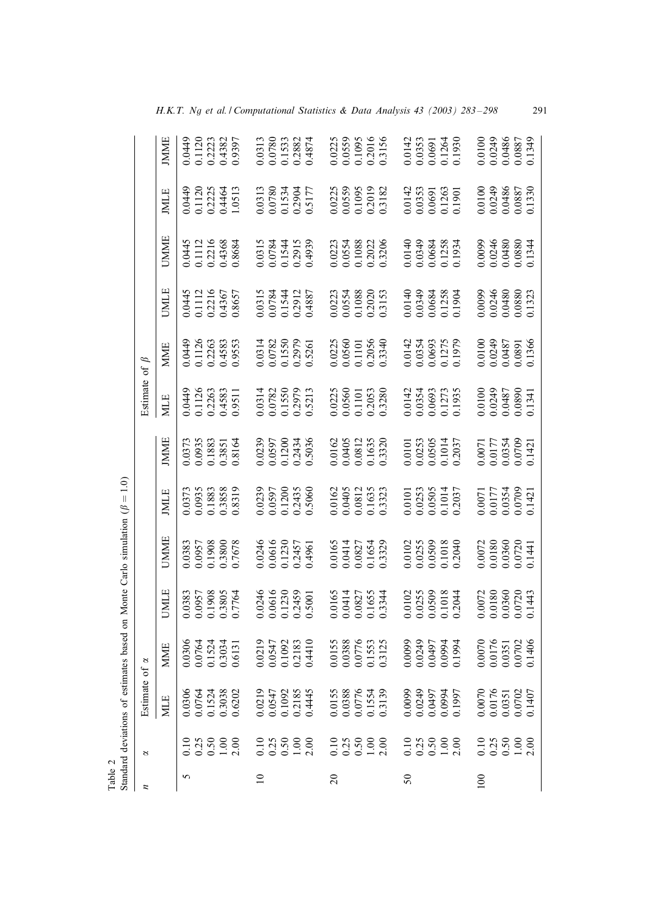<span id="page-8-0"></span>

| Table 2     |                                                                   | Standard deviations of esti                                                             |                                                                                         |                                                                               | mates based on Monte Carlo simulation ( $\beta = 1.0$ )                       |                                                                                         |                                                                               |                                                |                                                |                                                |                                                  |                                                |                                                                                  |
|-------------|-------------------------------------------------------------------|-----------------------------------------------------------------------------------------|-----------------------------------------------------------------------------------------|-------------------------------------------------------------------------------|-------------------------------------------------------------------------------|-----------------------------------------------------------------------------------------|-------------------------------------------------------------------------------|------------------------------------------------|------------------------------------------------|------------------------------------------------|--------------------------------------------------|------------------------------------------------|----------------------------------------------------------------------------------|
| z           | 2                                                                 | Estimate                                                                                | of $\alpha$                                                                             |                                                                               |                                                                               |                                                                                         |                                                                               | Estimate                                       | of $\beta$                                     |                                                |                                                  |                                                |                                                                                  |
|             |                                                                   | <b>MLE</b>                                                                              | <b>MME</b>                                                                              | JMLE                                                                          | <b>UMME</b>                                                                   | <b>MLE</b>                                                                              | <b>IMME</b>                                                                   | <b>MLE</b>                                     | <b>MME</b>                                     | <b>UMLE</b>                                    | <b>UMME</b>                                      | <b>IMLE</b>                                    | <b>IMME</b>                                                                      |
| 5           |                                                                   |                                                                                         | 0.0306                                                                                  |                                                                               | 0.0383                                                                        |                                                                                         |                                                                               |                                                |                                                |                                                | 0.0445                                           |                                                |                                                                                  |
|             |                                                                   |                                                                                         | 0.0764                                                                                  |                                                                               |                                                                               |                                                                                         |                                                                               |                                                |                                                |                                                |                                                  |                                                |                                                                                  |
|             |                                                                   |                                                                                         | 0.1524<br>0.3034                                                                        |                                                                               | 0.0957<br>0.1908<br>0.3800                                                    |                                                                                         |                                                                               |                                                |                                                |                                                |                                                  |                                                |                                                                                  |
|             | $\begin{array}{c} 10 \\ 0.25 \\ 0.50 \\ 0.10 \\ 1.00 \end{array}$ | $\begin{array}{c} 0.0306 \\ 0.0764 \\ 0.1524 \\ 0.3038 \\ 0.6202 \end{array}$           | 0.6131                                                                                  | 0.0383<br>0.0957<br>0.1908<br>0.3805<br>0.7764                                | 0.7678                                                                        | 0.0373<br>0.0935<br>0.1883<br>0.3858<br>0.8319                                          | $\begin{array}{c} 0.0373 \\ 0.0935 \\ 0.1883 \\ 0.3851 \\ 0.3851 \end{array}$ | 0.0449<br>0.1126<br>0.2263<br>0.4583<br>0.9511 | 0.0449<br>0.1126<br>0.2263<br>0.4583<br>0.9553 | 0.0445<br>0.1112<br>0.2216<br>0.4367<br>0.8657 | 0.1112<br>0.2216<br>0.4368<br>0.8684             | 0.0449<br>0.1120<br>0.2225<br>0.4464<br>1.0513 | 0.0449<br>0.1120<br>0.2223<br>0.4382<br>0.9397                                   |
| $\supseteq$ |                                                                   |                                                                                         |                                                                                         |                                                                               |                                                                               |                                                                                         |                                                                               |                                                |                                                |                                                |                                                  |                                                |                                                                                  |
|             | $0.10$<br>$0.30$<br>$0.50$<br>$0.30$<br>$0.30$                    | $\begin{array}{c} 0.0219 \\ 0.0547 \\ 0.1092 \\ 0.2185 \\ 0.2445 \end{array}$           | 0.0219<br>0.0547                                                                        | $0.0246$<br>$0.0616$<br>$0.1230$<br>$0.2459$<br>$0.5001$                      | 0.0246<br>0.0616<br>0.1230<br>0.2457<br>0.4961                                | 0.0239<br>0.0597<br>0.1200<br>0.2435<br>0.5060                                          | 0.0239<br>0.0597<br>0.1200<br>0.2434<br>0.5036                                | 0.0314<br>0.0782<br>0.1550<br>0.2979<br>0.5213 | 0.0314<br>0.0782<br>0.1550<br>0.2979<br>0.5261 | 0.0315<br>0.0784<br>0.1544<br>0.2912<br>0.4887 | 0.0315<br>0.0784<br>0.1544<br>0.2915<br>0.4939   | 0.0313<br>0.0780<br>0.1534<br>0.2904<br>0.5177 | $\begin{array}{c} 0.0313 \\ 0.0780 \\ 0.1533 \\ 0.2882 \\ 0.4874 \end{array}$    |
|             |                                                                   |                                                                                         | 0.1092                                                                                  |                                                                               |                                                                               |                                                                                         |                                                                               |                                                |                                                |                                                |                                                  |                                                |                                                                                  |
|             |                                                                   |                                                                                         | 0.2183<br>0.4410                                                                        |                                                                               |                                                                               |                                                                                         |                                                                               |                                                |                                                |                                                |                                                  |                                                |                                                                                  |
|             |                                                                   |                                                                                         |                                                                                         |                                                                               |                                                                               |                                                                                         |                                                                               |                                                |                                                |                                                |                                                  |                                                |                                                                                  |
| $\Omega$    |                                                                   |                                                                                         |                                                                                         |                                                                               |                                                                               |                                                                                         |                                                                               |                                                |                                                |                                                |                                                  |                                                |                                                                                  |
|             | $0.10$<br>$0.35$<br>$0.50$<br>$1.00$<br>$2.00$                    | 0.0155<br>0.0388<br>0.0776<br>0.1554<br>0.3139                                          | 0.0155<br>0.0388                                                                        | 0.0165<br>0.0414<br>0.0827                                                    | 0.0165<br>0.0414                                                              | 0.0162<br>0.0405<br>0.0812<br>0.1635<br>0.13323                                         | 0.0162<br>0.0405<br>0.0812<br>0.1635<br>0.3320                                | 0.0225<br>0.0560<br>0.1101                     | 0.0225<br>0.0560<br>0.1101                     | 0.0223<br>0.0554<br>0.1088<br>0.2020<br>0.3153 | 0.0223<br>0.0554<br>0.1088                       | 0.0225<br>0.0559<br>0.1095                     | 0.0225<br>0.0559<br>0.1095<br>0.2016<br>0.3156                                   |
|             |                                                                   |                                                                                         | 0.0776                                                                                  |                                                                               | 0.0827                                                                        |                                                                                         |                                                                               |                                                |                                                |                                                |                                                  |                                                |                                                                                  |
|             |                                                                   |                                                                                         | 0.1553                                                                                  | 0.1655                                                                        | 0.1654                                                                        |                                                                                         |                                                                               | 0.2053<br>0.3280                               | 0.2056<br>0.3340                               |                                                | 0.2022<br>0.3206                                 | 0.2019<br>0.3182                               |                                                                                  |
|             |                                                                   |                                                                                         | 0.3125                                                                                  | 0.3344                                                                        |                                                                               |                                                                                         |                                                                               |                                                |                                                |                                                |                                                  |                                                |                                                                                  |
| $50\,$      |                                                                   | 766110<br>166010<br>166010<br>166010                                                    | 0.0099                                                                                  |                                                                               |                                                                               |                                                                                         |                                                                               |                                                |                                                |                                                |                                                  |                                                |                                                                                  |
|             |                                                                   |                                                                                         | 0.0249<br>0.0497                                                                        |                                                                               |                                                                               |                                                                                         |                                                                               |                                                |                                                |                                                |                                                  |                                                |                                                                                  |
|             | $0.10$<br>$0.35$<br>$0.50$<br>$1.00$<br>$2.00$                    |                                                                                         |                                                                                         | $\begin{array}{c} 0.0102 \\ 0.0255 \\ 0.0509 \\ 0.1018 \end{array}$           | 0.0102<br>0.0255<br>0.0509<br>0.1018<br>0.1018                                | $\begin{array}{c} 0.0101 \\ 0.0253 \\ 0.0505 \\ 0.1014 \\ 0.1014 \\ 0.2037 \end{array}$ | $\begin{array}{c} 0.0101 \\ 0.0253 \\ 0.0505 \\ 0.1014 \\ 0.2037 \end{array}$ | 0.0142<br>0.0354<br>0.0693<br>0.1273<br>0.1935 | 0.0142<br>0.0354<br>0.0693<br>0.1275<br>0.1979 | 0.0140<br>0.0349<br>0.0684<br>0.1258<br>0.1904 | 0.0140<br>0.0349<br>0.0684<br>0.1258<br>0.1934   | 0.0142<br>0.0353<br>0.0691<br>0.1263<br>0.1901 | $\begin{array}{c} 0.0142 \\ 0.0353 \\ 0.0691 \\ 0.1264 \\ 0.1364 \\ \end{array}$ |
|             |                                                                   |                                                                                         | 0.0994                                                                                  |                                                                               |                                                                               |                                                                                         |                                                                               |                                                |                                                |                                                |                                                  |                                                |                                                                                  |
|             |                                                                   |                                                                                         | 0.1994                                                                                  | 0.2044                                                                        |                                                                               |                                                                                         |                                                                               |                                                |                                                |                                                |                                                  |                                                |                                                                                  |
| 100         |                                                                   |                                                                                         |                                                                                         |                                                                               |                                                                               |                                                                                         |                                                                               |                                                |                                                |                                                |                                                  |                                                |                                                                                  |
|             |                                                                   |                                                                                         |                                                                                         |                                                                               |                                                                               |                                                                                         |                                                                               |                                                |                                                |                                                |                                                  |                                                |                                                                                  |
|             |                                                                   |                                                                                         |                                                                                         |                                                                               |                                                                               |                                                                                         |                                                                               |                                                |                                                |                                                |                                                  |                                                |                                                                                  |
|             | $\begin{array}{c} 10 \\ 0.25 \\ 0.50 \\ 0.10 \\ 1.0 \end{array}$  | $\begin{array}{c} 0.0070 \\ 0.0176 \\ 0.0351 \\ 0.0702 \\ 0.0702 \\ 0.1407 \end{array}$ | $\begin{array}{c} 0.0070 \\ 0.0176 \\ 0.0351 \\ 0.0702 \\ 0.0702 \\ 0.1406 \end{array}$ | $\begin{array}{c} 0.0072 \\ 0.0180 \\ 0.0360 \\ 0.0720 \\ 0.0743 \end{array}$ | $\begin{array}{c} 0.0072 \\ 0.0180 \\ 0.0360 \\ 0.0720 \\ 0.0720 \end{array}$ | $\begin{array}{c} 0.0071 \\ 1.0177 \\ 0.0354 \\ 0.0709 \\ 0.01421 \end{array}$          | 0.0071<br>0.0177<br>0.0354<br>0.0709<br>0.1421                                | 0.0100<br>0.0249<br>0.0487<br>0.0890<br>0.0341 | 0.0100<br>0.0249<br>0.0487<br>0.0891<br>0.1366 | 0.0099<br>0.0246<br>0.0480<br>0.0880<br>0.1323 | $0.0099$<br>0.0246<br>0.0480<br>0.0880<br>0.1344 | 0.0100<br>0.0249<br>0.0486<br>0.0887<br>0.1330 |                                                                                  |
|             |                                                                   |                                                                                         |                                                                                         |                                                                               |                                                                               |                                                                                         |                                                                               |                                                |                                                |                                                |                                                  |                                                |                                                                                  |

*H.K.T. Ng et al. / Computational Statistics & Data Analysis 43 (2003) 283 – 298* 291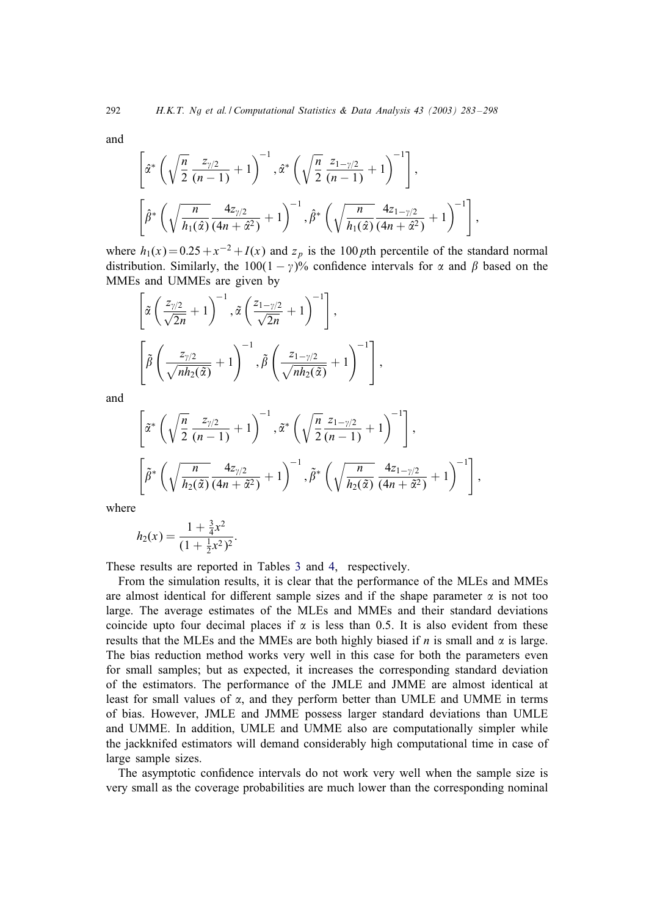and

$$
\left[\hat{\alpha}^* \left(\sqrt{\frac{n}{2}} \frac{z_{\gamma/2}}{(n-1)} + 1\right)^{-1}, \hat{\alpha}^* \left(\sqrt{\frac{n}{2}} \frac{z_{1-\gamma/2}}{(n-1)} + 1\right)^{-1}\right],
$$
\n
$$
\left[\hat{\beta}^* \left(\sqrt{\frac{n}{h_1(\hat{\alpha})}} \frac{4z_{\gamma/2}}{(4n+\hat{\alpha}^2)} + 1\right)^{-1}, \hat{\beta}^* \left(\sqrt{\frac{n}{h_1(\hat{\alpha})}} \frac{4z_{1-\gamma/2}}{(4n+\hat{\alpha}^2)} + 1\right)^{-1}\right],
$$

where  $h_1(x)=0.25 + x^{-2} + I(x)$  and  $z_p$  is the 100 pth percentile of the standard normal distribution. Similarly, the 100(1 –  $\gamma$ )% confidence intervals for  $\alpha$  and  $\beta$  based on the MMEs and UMMEs are given by

$$
\left[\tilde{\alpha}\left(\frac{z_{\gamma/2}}{\sqrt{2n}}+1\right)^{-1}, \tilde{\alpha}\left(\frac{z_{1-\gamma/2}}{\sqrt{2n}}+1\right)^{-1}\right],
$$
\n
$$
\left[\tilde{\beta}\left(\frac{z_{\gamma/2}}{\sqrt{nh_2(\tilde{\alpha})}}+1\right)^{-1}, \tilde{\beta}\left(\frac{z_{1-\gamma/2}}{\sqrt{nh_2(\tilde{\alpha})}}+1\right)^{-1}\right],
$$

and

$$
\left[\tilde{\alpha}^* \left(\sqrt{\frac{n}{2}} \frac{z_{\gamma/2}}{(n-1)} + 1\right)^{-1}, \tilde{\alpha}^* \left(\sqrt{\frac{n}{2}} \frac{z_{1-\gamma/2}}{(n-1)} + 1\right)^{-1}\right],
$$
  

$$
\left[\tilde{\beta}^* \left(\sqrt{\frac{n}{h_2(\tilde{\alpha})}} \frac{4z_{\gamma/2}}{(4n+\tilde{\alpha}^2)} + 1\right)^{-1}, \tilde{\beta}^* \left(\sqrt{\frac{n}{h_2(\tilde{\alpha})}} \frac{4z_{1-\gamma/2}}{(4n+\tilde{\alpha}^2)} + 1\right)^{-1}\right],
$$

where

$$
h_2(x) = \frac{1 + \frac{3}{4}x^2}{(1 + \frac{1}{2}x^2)^2}.
$$

These results are reported in Tables [3](#page-10-0) and [4,](#page-11-0) respectively.

From the simulation results, it is clear that the performance of the MLEs and MMEs are almost identical for different sample sizes and if the shape parameter  $\alpha$  is not too large. The average estimates of the MLEs and MMEs and their standard deviations coincide upto four decimal places if  $\alpha$  is less than 0.5. It is also evident from these results that the MLEs and the MMEs are both highly biased if n is small and  $\alpha$  is large. The bias reduction method works very well in this case for both the parameters even for small samples; but as expected, it increases the corresponding standard deviation of the estimators. The performance of the JMLE and JMME are almost identical at least for small values of  $\alpha$ , and they perform better than UMLE and UMME in terms of bias. However, JMLE and JMME possess larger standard deviations than UMLE and UMME. In addition, UMLE and UMME also are computationally simpler while the jackknifed estimators will demand considerably high computational time in case of large sample sizes.

The asymptotic confidence intervals do not work very well when the sample size is very small as the coverage probabilities are much lower than the corresponding nominal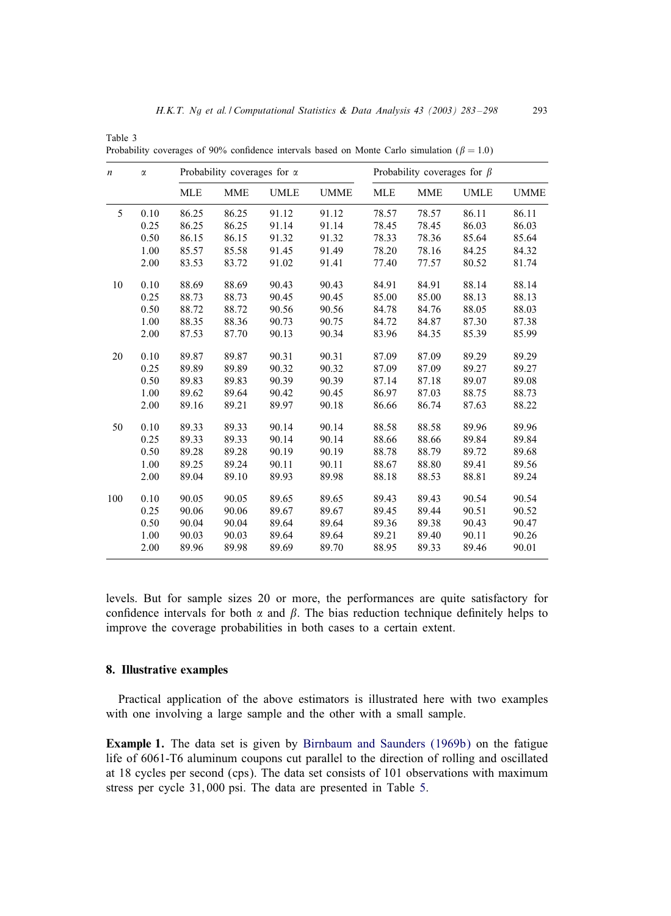| $\boldsymbol{n}$ | $\alpha$ |            | Probability coverages for $\alpha$ |             |             |            | Probability coverages for $\beta$ |             |             |
|------------------|----------|------------|------------------------------------|-------------|-------------|------------|-----------------------------------|-------------|-------------|
|                  |          | <b>MLE</b> | <b>MME</b>                         | <b>UMLE</b> | <b>UMME</b> | <b>MLE</b> | <b>MME</b>                        | <b>UMLE</b> | <b>UMME</b> |
| 5                | 0.10     | 86.25      | 86.25                              | 91.12       | 91.12       | 78.57      | 78.57                             | 86.11       | 86.11       |
|                  | 0.25     | 86.25      | 86.25                              | 91.14       | 91.14       | 78.45      | 78.45                             | 86.03       | 86.03       |
|                  | 0.50     | 86.15      | 86.15                              | 91.32       | 91.32       | 78.33      | 78.36                             | 85.64       | 85.64       |
|                  | 1.00     | 85.57      | 85.58                              | 91.45       | 91.49       | 78.20      | 78.16                             | 84.25       | 84.32       |
|                  | 2.00     | 83.53      | 83.72                              | 91.02       | 91.41       | 77.40      | 77.57                             | 80.52       | 81.74       |
| 10               | 0.10     | 88.69      | 88.69                              | 90.43       | 90.43       | 84.91      | 84.91                             | 88.14       | 88.14       |
|                  | 0.25     | 88.73      | 88.73                              | 90.45       | 90.45       | 85.00      | 85.00                             | 88.13       | 88.13       |
|                  | 0.50     | 88.72      | 88.72                              | 90.56       | 90.56       | 84.78      | 84.76                             | 88.05       | 88.03       |
|                  | 1.00     | 88.35      | 88.36                              | 90.73       | 90.75       | 84.72      | 84.87                             | 87.30       | 87.38       |
|                  | 2.00     | 87.53      | 87.70                              | 90.13       | 90.34       | 83.96      | 84.35                             | 85.39       | 85.99       |
| 20               | 0.10     | 89.87      | 89.87                              | 90.31       | 90.31       | 87.09      | 87.09                             | 89.29       | 89.29       |
|                  | 0.25     | 89.89      | 89.89                              | 90.32       | 90.32       | 87.09      | 87.09                             | 89.27       | 89.27       |
|                  | 0.50     | 89.83      | 89.83                              | 90.39       | 90.39       | 87.14      | 87.18                             | 89.07       | 89.08       |
|                  | 1.00     | 89.62      | 89.64                              | 90.42       | 90.45       | 86.97      | 87.03                             | 88.75       | 88.73       |
|                  | 2.00     | 89.16      | 89.21                              | 89.97       | 90.18       | 86.66      | 86.74                             | 87.63       | 88.22       |
| 50               | 0.10     | 89.33      | 89.33                              | 90.14       | 90.14       | 88.58      | 88.58                             | 89.96       | 89.96       |
|                  | 0.25     | 89.33      | 89.33                              | 90.14       | 90.14       | 88.66      | 88.66                             | 89.84       | 89.84       |
|                  | 0.50     | 89.28      | 89.28                              | 90.19       | 90.19       | 88.78      | 88.79                             | 89.72       | 89.68       |
|                  | 1.00     | 89.25      | 89.24                              | 90.11       | 90.11       | 88.67      | 88.80                             | 89.41       | 89.56       |
|                  | 2.00     | 89.04      | 89.10                              | 89.93       | 89.98       | 88.18      | 88.53                             | 88.81       | 89.24       |
| 100              | 0.10     | 90.05      | 90.05                              | 89.65       | 89.65       | 89.43      | 89.43                             | 90.54       | 90.54       |
|                  | 0.25     | 90.06      | 90.06                              | 89.67       | 89.67       | 89.45      | 89.44                             | 90.51       | 90.52       |
|                  | 0.50     | 90.04      | 90.04                              | 89.64       | 89.64       | 89.36      | 89.38                             | 90.43       | 90.47       |
|                  | 1.00     | 90.03      | 90.03                              | 89.64       | 89.64       | 89.21      | 89.40                             | 90.11       | 90.26       |
|                  | 2.00     | 89.96      | 89.98                              | 89.69       | 89.70       | 88.95      | 89.33                             | 89.46       | 90.01       |

Probability coverages of 90% confidence intervals based on Monte Carlo simulation ( $\beta = 1.0$ )

levels. But for sample sizes 20 or more, the performances are quite satisfactory for confidence intervals for both  $\alpha$  and  $\beta$ . The bias reduction technique definitely helps to improve the coverage probabilities in both cases to a certain extent.

## 8. Illustrative examples

<span id="page-10-0"></span>Table 3

Practical application of the above estimators is illustrated here with two examples with one involving a large sample and the other with a small sample.

Example 1. The data set is given by [Birnbaum and Saunders \(1969b\)](#page-15-0) on the fatigue life of 6061-T6 aluminum coupons cut parallel to the direction of rolling and oscillated at 18 cycles per second (cps). The data set consists of 101 observations with maximum stress per cycle 31; 000 psi. The data are presented in Table [5.](#page-11-0)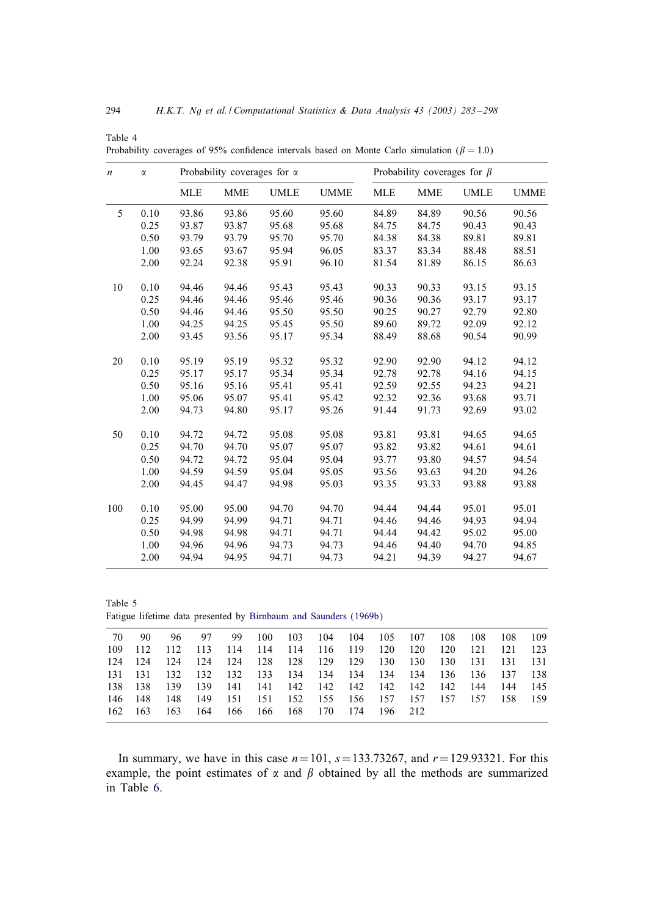| $\boldsymbol{n}$ | $\alpha$ |            | Probability coverages for $\alpha$ |             |             |            | Probability coverages for $\beta$ |             |             |
|------------------|----------|------------|------------------------------------|-------------|-------------|------------|-----------------------------------|-------------|-------------|
|                  |          | <b>MLE</b> | <b>MME</b>                         | <b>UMLE</b> | <b>UMME</b> | <b>MLE</b> | <b>MME</b>                        | <b>UMLE</b> | <b>UMME</b> |
| 5                | 0.10     | 93.86      | 93.86                              | 95.60       | 95.60       | 84.89      | 84.89                             | 90.56       | 90.56       |
|                  | 0.25     | 93.87      | 93.87                              | 95.68       | 95.68       | 84.75      | 84.75                             | 90.43       | 90.43       |
|                  | 0.50     | 93.79      | 93.79                              | 95.70       | 95.70       | 84.38      | 84.38                             | 89.81       | 89.81       |
|                  | 1.00     | 93.65      | 93.67                              | 95.94       | 96.05       | 83.37      | 83.34                             | 88.48       | 88.51       |
|                  | 2.00     | 92.24      | 92.38                              | 95.91       | 96.10       | 81.54      | 81.89                             | 86.15       | 86.63       |
| 10               | 0.10     | 94.46      | 94.46                              | 95.43       | 95.43       | 90.33      | 90.33                             | 93.15       | 93.15       |
|                  | 0.25     | 94.46      | 94.46                              | 95.46       | 95.46       | 90.36      | 90.36                             | 93.17       | 93.17       |
|                  | 0.50     | 94.46      | 94.46                              | 95.50       | 95.50       | 90.25      | 90.27                             | 92.79       | 92.80       |
|                  | 1.00     | 94.25      | 94.25                              | 95.45       | 95.50       | 89.60      | 89.72                             | 92.09       | 92.12       |
|                  | 2.00     | 93.45      | 93.56                              | 95.17       | 95.34       | 88.49      | 88.68                             | 90.54       | 90.99       |
| 20               | 0.10     | 95.19      | 95.19                              | 95.32       | 95.32       | 92.90      | 92.90                             | 94.12       | 94.12       |
|                  | 0.25     | 95.17      | 95.17                              | 95.34       | 95.34       | 92.78      | 92.78                             | 94.16       | 94.15       |
|                  | 0.50     | 95.16      | 95.16                              | 95.41       | 95.41       | 92.59      | 92.55                             | 94.23       | 94.21       |
|                  | 1.00     | 95.06      | 95.07                              | 95.41       | 95.42       | 92.32      | 92.36                             | 93.68       | 93.71       |
|                  | 2.00     | 94.73      | 94.80                              | 95.17       | 95.26       | 91.44      | 91.73                             | 92.69       | 93.02       |
| 50               | 0.10     | 94.72      | 94.72                              | 95.08       | 95.08       | 93.81      | 93.81                             | 94.65       | 94.65       |
|                  | 0.25     | 94.70      | 94.70                              | 95.07       | 95.07       | 93.82      | 93.82                             | 94.61       | 94.61       |
|                  | 0.50     | 94.72      | 94.72                              | 95.04       | 95.04       | 93.77      | 93.80                             | 94.57       | 94.54       |
|                  | 1.00     | 94.59      | 94.59                              | 95.04       | 95.05       | 93.56      | 93.63                             | 94.20       | 94.26       |
|                  | 2.00     | 94.45      | 94.47                              | 94.98       | 95.03       | 93.35      | 93.33                             | 93.88       | 93.88       |
| 100              | 0.10     | 95.00      | 95.00                              | 94.70       | 94.70       | 94.44      | 94.44                             | 95.01       | 95.01       |
|                  | 0.25     | 94.99      | 94.99                              | 94.71       | 94.71       | 94.46      | 94.46                             | 94.93       | 94.94       |
|                  | 0.50     | 94.98      | 94.98                              | 94.71       | 94.71       | 94.44      | 94.42                             | 95.02       | 95.00       |
|                  | 1.00     | 94.96      | 94.96                              | 94.73       | 94.73       | 94.46      | 94.40                             | 94.70       | 94.85       |
|                  | 2.00     | 94.94      | 94.95                              | 94.71       | 94.73       | 94.21      | 94.39                             | 94.27       | 94.67       |

Probability coverages of 95% confidence intervals based on Monte Carlo simulation ( $\beta = 1.0$ )

<span id="page-11-0"></span>Table 4

Table 5 Fatigue lifetime data presented by [Birnbaum and Saunders \(1969b\)](#page-15-0)

| 70      | -90     | 96 —  | 97                      |  |  |                                     | 99 100 103 104 104 105 107                  |     | 108 108 108                                     | 109   |
|---------|---------|-------|-------------------------|--|--|-------------------------------------|---------------------------------------------|-----|-------------------------------------------------|-------|
|         | 109 112 |       |                         |  |  |                                     | 112 113 114 114 114 116 119 120 120 120     | 121 | - 121                                           | - 123 |
|         | 124 124 | - 124 |                         |  |  |                                     |                                             |     | 124 124 128 128 129 129 130 130 130 131 131 131 |       |
| 131 131 |         |       |                         |  |  | 132 132 132 133 134 134 134 134 134 |                                             |     | 136 136 137 138                                 |       |
|         | 138 138 |       |                         |  |  |                                     | 139 139 141 141 142 142 142 142 142 142     |     | 144 144 145                                     |       |
|         | 146 148 |       |                         |  |  |                                     | 148 149 151 151 152 155 156 157 157 157 157 |     | 158 159                                         |       |
|         | 162 163 |       | 163 164 166 166 168 170 |  |  | 174 196 212                         |                                             |     |                                                 |       |
|         |         |       |                         |  |  |                                     |                                             |     |                                                 |       |

In summary, we have in this case  $n=101$ ,  $s=133.73267$ , and  $r=129.93321$ . For this example, the point estimates of  $\alpha$  and  $\beta$  obtained by all the methods are summarized in Table [6.](#page-12-0)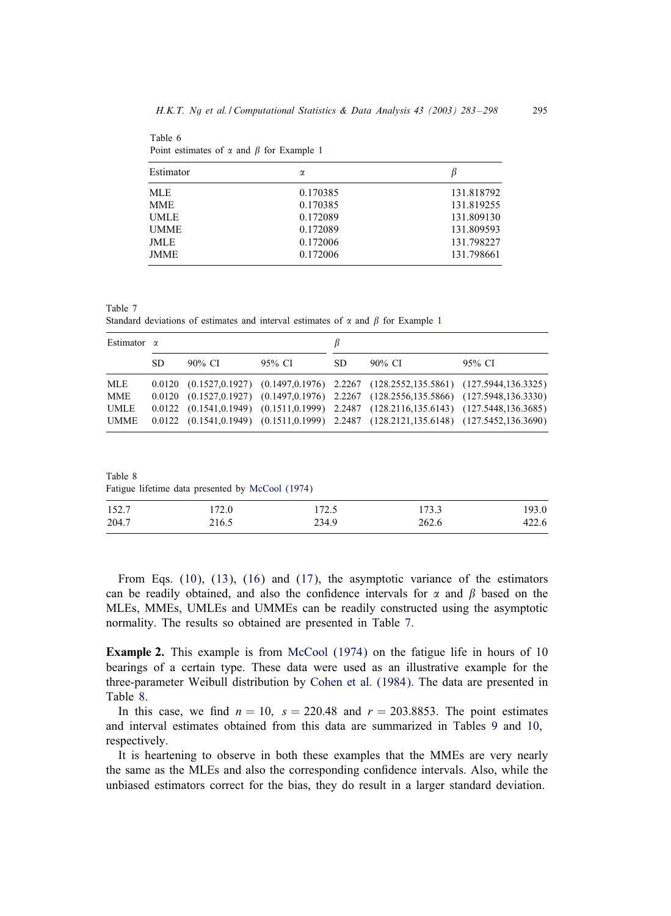| Estimator   | α        | B          |
|-------------|----------|------------|
| <b>MLE</b>  | 0.170385 | 131.818792 |
| <b>MME</b>  | 0.170385 | 131.819255 |
| <b>UMLE</b> | 0.172089 | 131.809130 |
| <b>UMME</b> | 0.172089 | 131.809593 |
| <b>JMLE</b> | 0.172006 | 131.798227 |
| <b>JMME</b> | 0.172006 | 131.798661 |

Point estimates of  $\alpha$  and  $\beta$  for Example [1](#page-10-0)

<span id="page-12-0"></span>Table 6

Table 7 Standard deviations of estimates and interval estimates of  $\alpha$  and  $\beta$  for Example [1](#page-10-0)

| Estimator $\alpha$ |    |        |        |     |                                                                                                       |        |
|--------------------|----|--------|--------|-----|-------------------------------------------------------------------------------------------------------|--------|
|                    | SD | 90% CI | 95% CI | SD. | 90% CI                                                                                                | 95% CI |
| MLE                |    |        |        |     | $0.0120$ $(0.1527, 0.1927)$ $(0.1497, 0.1976)$ $2.2267$ $(128.2552, 135.5861)$ $(127.5944, 136.3325)$ |        |
| <b>MME</b>         |    |        |        |     | 0.0120 (0.1527,0.1927) (0.1497,0.1976) 2.2267 (128.2556,135.5866) (127.5948,136.3330)                 |        |
| <b>UMLE</b>        |    |        |        |     | $0.0122$ $(0.1541, 0.1949)$ $(0.1511, 0.1999)$ $2.2487$ $(128.2116, 135.6143)$ $(127.5448, 136.3685)$ |        |
| UMME               |    |        |        |     | 0.0122 (0.1541,0.1949) (0.1511,0.1999) 2.2487 (128.2121,135.6148) (127.5452,136.3690)                 |        |

Table 8 Fatigue lifetime data presented by [McCool \(1974\)](#page-15-0)

| 152.7 | 172.0 | 172.5 | 173.3 | 193.0 |
|-------|-------|-------|-------|-------|
| 204.7 | 216.5 | 234.9 | 262.6 | 422.6 |

From Eqs. [\(10\)](#page-3-0), [\(13\)](#page-4-0), [\(16\)](#page-5-0) and [\(17\)](#page-5-0), the asymptotic variance of the estimators can be readily obtained, and also the confidence intervals for  $\alpha$  and  $\beta$  based on the MLEs, MMEs, UMLEs and UMMEs can be readily constructed using the asymptotic normality. The results so obtained are presented in Table 7.

Example 2. This example is from [McCool \(1974\)](#page-15-0) on the fatigue life in hours of 10 bearings of a certain type. These data were used as an illustrative example for the three-parameter Weibull distribution by [Cohen et al. \(1984\).](#page-15-0) The data are presented in Table 8.

In this case, we find  $n = 10$ ,  $s = 220.48$  and  $r = 203.8853$ . The point estimates and interval estimates obtained from this data are summarized in Tables [9](#page-13-0) and [10,](#page-13-0) respectively.

It is heartening to observe in both these examples that the MMEs are very nearly the same as the MLEs and also the corresponding confidence intervals. Also, while the unbiased estimators correct for the bias, they do result in a larger standard deviation.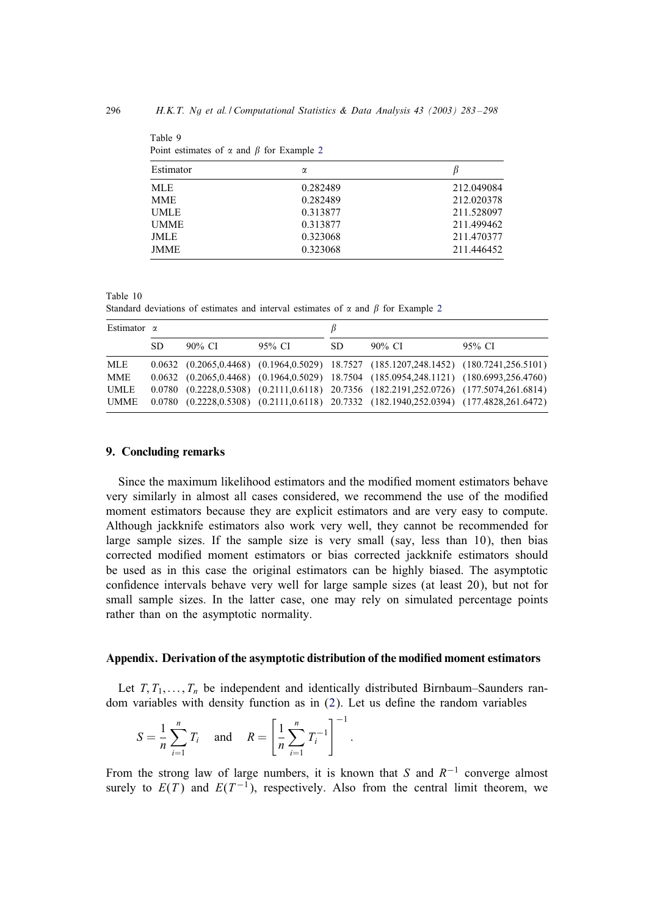| Estimator   | $\alpha$ |            |
|-------------|----------|------------|
| MLE.        | 0.282489 | 212.049084 |
| <b>MME</b>  | 0.282489 | 212.020378 |
| <b>UMLE</b> | 0.313877 | 211.528097 |
| <b>UMME</b> | 0.313877 | 211.499462 |
| <b>JMLE</b> | 0.323068 | 211.470377 |
| <b>JMME</b> | 0.323068 | 211.446452 |

|  | Point estimates of $\alpha$ and $\beta$ for Example 2 |  |  |  |  |  |  |  |
|--|-------------------------------------------------------|--|--|--|--|--|--|--|
|--|-------------------------------------------------------|--|--|--|--|--|--|--|

Table 10

Standard deviations of estimates and interval estimates of  $\alpha$  and  $\beta$  for Example [2](#page-12-0)

| Estimator $\alpha$ |     |        |        |     |                                                                                                        |        |
|--------------------|-----|--------|--------|-----|--------------------------------------------------------------------------------------------------------|--------|
|                    | SD. | 90% CI | 95% CI | SD. | 90% CI                                                                                                 | 95% CI |
| MLE                |     |        |        |     | $0.0632$ $(0.2065, 0.4468)$ $(0.1964, 0.5029)$ $18.7527$ $(185.1207, 248.1452)$ $(180.7241, 256.5101)$ |        |
| <b>MME</b>         |     |        |        |     | $0.0632$ $(0.2065, 0.4468)$ $(0.1964, 0.5029)$ 18.7504 $(185.0954, 248.1121)$ $(180.6993, 256.4760)$   |        |
| UMLE               |     |        |        |     | 0.0780 (0.2228,0.5308) (0.2111,0.6118) 20.7356 (182.2191,252.0726) (177.5074,261.6814)                 |        |
| UMME               |     |        |        |     | 0.0780 (0.2228,0.5308) (0.2111,0.6118) 20.7332 (182.1940,252.0394) (177.4828,261.6472)                 |        |

### 9. Concluding remarks

<span id="page-13-0"></span>Table 9

Since the maximum likelihood estimators and the modified moment estimators behave very similarly in almost all cases considered, we recommend the use of the modified moment estimators because they are explicit estimators and are very easy to compute. Although jackknife estimators also work very well, they cannot be recommended for large sample sizes. If the sample size is very small (say, less than 10), then bias corrected modified moment estimators or bias corrected jackknife estimators should be used as in this case the original estimators can be highly biased. The asymptotic confidence intervals behave very well for large sample sizes (at least 20), but not for small sample sizes. In the latter case, one may rely on simulated percentage points rather than on the asymptotic normality.

#### Appendix. Derivation of the asymptotic distribution of the modied moment estimators

Let  $T, T_1, \ldots, T_n$  be independent and identically distributed Birnbaum–Saunders random variables with density function as in  $(2)$ . Let us define the random variables

$$
S = \frac{1}{n} \sum_{i=1}^{n} T_i \quad \text{and} \quad R = \left[ \frac{1}{n} \sum_{i=1}^{n} T_i^{-1} \right]^{-1}
$$

From the strong law of large numbers, it is known that S and  $R^{-1}$  converge almost surely to  $E(T)$  and  $E(T^{-1})$ , respectively. Also from the central limit theorem, we

: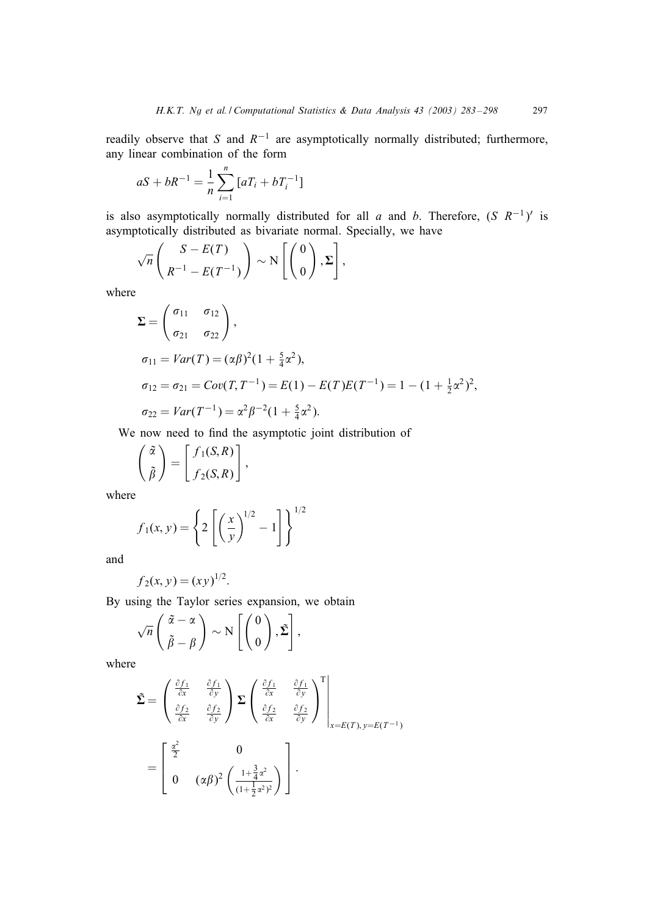readily observe that S and  $R^{-1}$  are asymptotically normally distributed; furthermore, any linear combination of the form

$$
aS + bR^{-1} = \frac{1}{n} \sum_{i=1}^{n} [aT_i + bT_i^{-1}]
$$

is also asymptotically normally distributed for all a and b. Therefore,  $(S \ R^{-1})'$  is asymptotically distributed as bivariate normal. Specially, we have

$$
\sqrt{n}\begin{pmatrix} S-E(T) \\ R^{-1}-E(T^{-1}) \end{pmatrix} \sim N\left[\begin{pmatrix} 0 \\ 0 \end{pmatrix}, \Sigma\right],
$$

where

$$
\Sigma = \begin{pmatrix} \sigma_{11} & \sigma_{12} \\ \sigma_{21} & \sigma_{22} \end{pmatrix},
$$
  
\n
$$
\sigma_{11} = Var(T) = (\alpha \beta)^2 (1 + \frac{5}{4} \alpha^2),
$$
  
\n
$$
\sigma_{12} = \sigma_{21} = Cov(T, T^{-1}) = E(1) - E(T)E(T^{-1}) = 1 - (1 + \frac{1}{2} \alpha^2)^2,
$$
  
\n
$$
\sigma_{22} = Var(T^{-1}) = \alpha^2 \beta^{-2} (1 + \frac{5}{4} \alpha^2).
$$

We now need to find the asymptotic joint distribution of

$$
\begin{pmatrix} \tilde{\alpha} \\ \tilde{\beta} \end{pmatrix} = \begin{bmatrix} f_1(S,R) \\ f_2(S,R) \end{bmatrix},
$$

where

$$
f_1(x, y) = \left\{ 2 \left[ \left( \frac{x}{y} \right)^{1/2} - 1 \right] \right\}^{1/2}
$$

and

$$
f_2(x, y) = (xy)^{1/2}.
$$

By using the Taylor series expansion, we obtain

$$
\sqrt{n}\begin{pmatrix} \tilde{\alpha} - \alpha \\ \tilde{\beta} - \beta \end{pmatrix} \sim N\left[\begin{pmatrix} 0 \\ 0 \end{pmatrix}, \tilde{\Sigma}\right],
$$

where

$$
\tilde{\Sigma} = \begin{pmatrix}\n\frac{\partial f_1}{\partial x} & \frac{\partial f_1}{\partial y} \\
\frac{\partial f_2}{\partial x} & \frac{\partial f_2}{\partial y}\n\end{pmatrix} \Sigma \begin{pmatrix}\n\frac{\partial f_1}{\partial x} & \frac{\partial f_1}{\partial y} \\
\frac{\partial f_2}{\partial x} & \frac{\partial f_2}{\partial y}\n\end{pmatrix}^T_{x=E(T), y=E(T^{-1})}
$$
\n
$$
= \begin{bmatrix}\n\frac{\alpha^2}{2} & 0 \\
0 & (\alpha \beta)^2 \left(\frac{1 + \frac{3}{4}\alpha^2}{(1 + \frac{1}{2}\alpha^2)^2}\right)\n\end{bmatrix}.
$$